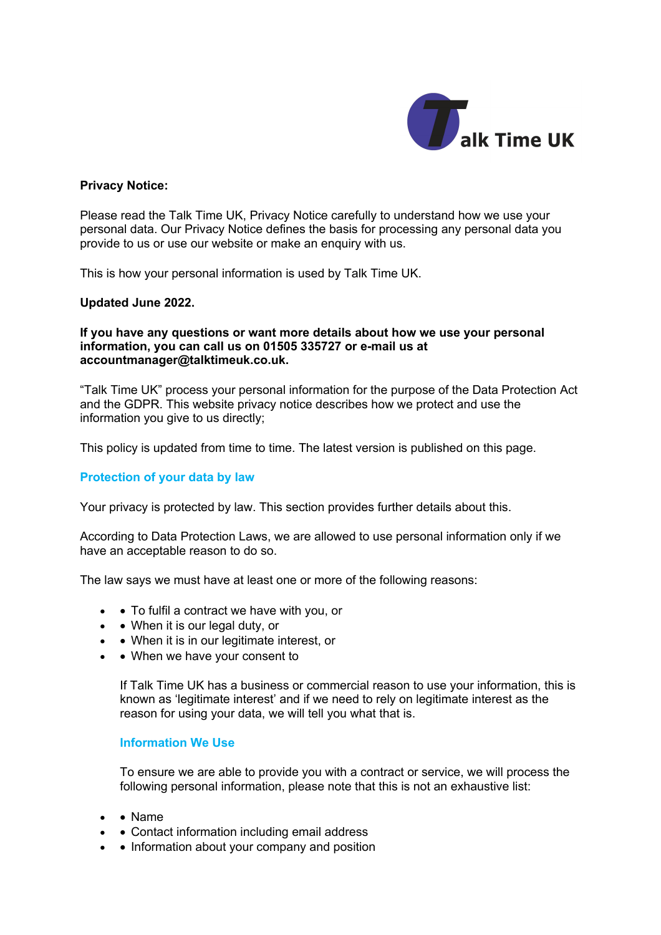

## **Privacy Notice:**

Please read the Talk Time UK, Privacy Notice carefully to understand how we use your personal data. Our Privacy Notice defines the basis for processing any personal data you provide to us or use our website or make an enquiry with us.

This is how your personal information is used by Talk Time UK.

### **Updated June 2022.**

#### **If you have any questions or want more details about how we use your personal information, you can call us on 01505 335727 or e-mail us at accountmanager@talktimeuk.co.uk.**

"Talk Time UK" process your personal information for the purpose of the Data Protection Act and the GDPR. This website privacy notice describes how we protect and use the information you give to us directly;

This policy is updated from time to time. The latest version is published on this page.

## **Protection of your data by law**

Your privacy is protected by law. This section provides further details about this.

According to Data Protection Laws, we are allowed to use personal information only if we have an acceptable reason to do so.

The law says we must have at least one or more of the following reasons:

- • To fulfil a contract we have with you, or
- • When it is our legal duty, or
- • When it is in our legitimate interest, or
- • When we have your consent to

If Talk Time UK has a business or commercial reason to use your information, this is known as 'legitimate interest' and if we need to rely on legitimate interest as the reason for using your data, we will tell you what that is.

#### **Information We Use**

To ensure we are able to provide you with a contract or service, we will process the following personal information, please note that this is not an exhaustive list:

- • Name
- • Contact information including email address
- • Information about your company and position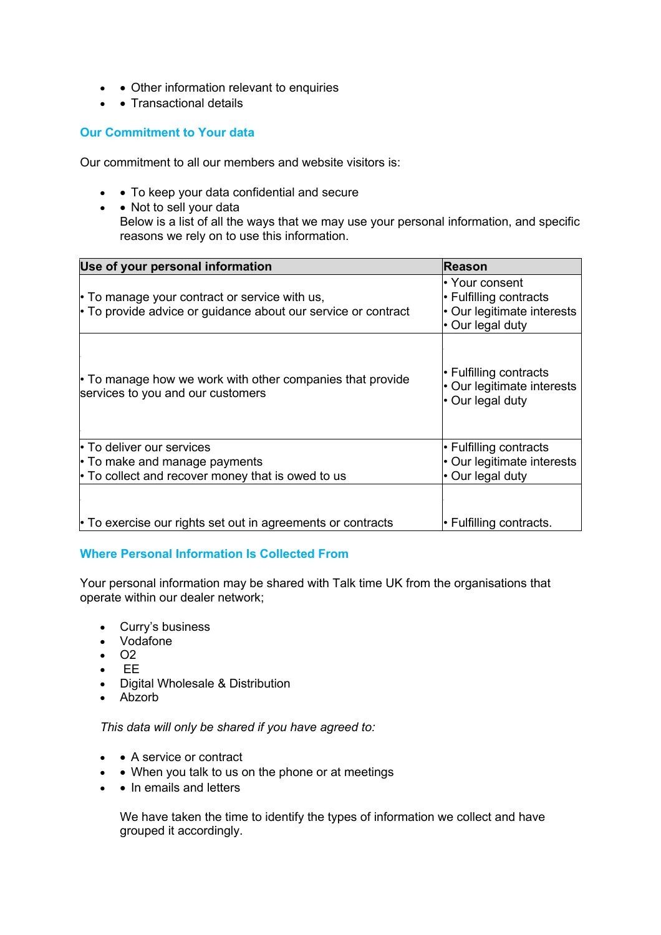- • Other information relevant to enquiries
- • Transactional details

# **Our Commitment to Your data**

Our commitment to all our members and website visitors is:

- • To keep your data confidential and secure
- • Not to sell your data Below is a list of all the ways that we may use your personal information, and specific reasons we rely on to use this information.

| Use of your personal information                                                                                           | <b>Reason</b>                                                                                    |
|----------------------------------------------------------------------------------------------------------------------------|--------------------------------------------------------------------------------------------------|
| $\cdot$ To manage your contract or service with us,<br>$\cdot$ To provide advice or guidance about our service or contract | • Your consent<br>$\cdot$ Fulfilling contracts<br>• Our legitimate interests<br>• Our legal duty |
| $\cdot$ To manage how we work with other companies that provide<br>services to you and our customers                       | $\cdot$ Fulfilling contracts<br>• Our legitimate interests<br>$\cdot$ Our legal duty             |
| • To deliver our services                                                                                                  | $\cdot$ Fulfilling contracts                                                                     |
| $\cdot$ To make and manage payments<br>$\cdot$ To collect and recover money that is owed to us                             | • Our legitimate interests<br>$\cdot$ Our legal duty                                             |
| • To exercise our rights set out in agreements or contracts                                                                | $\vdash$ Fulfilling contracts.                                                                   |

## **Where Personal Information Is Collected From**

Your personal information may be shared with Talk time UK from the organisations that operate within our dealer network;

- Curry's business
- Vodafone
- $\cdot$   $\Omega$
- EE
- Digital Wholesale & Distribution
- Abzorb

*This data will only be shared if you have agreed to:*

- • A service or contract
- • When you talk to us on the phone or at meetings
- • In emails and letters

We have taken the time to identify the types of information we collect and have grouped it accordingly.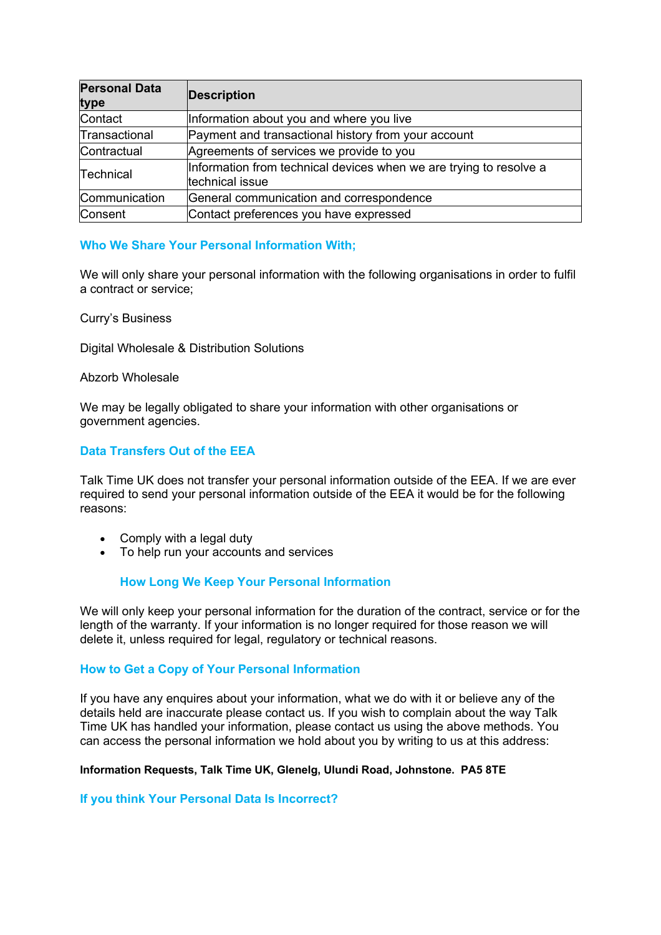| <b>Personal Data</b><br>type | <b>Description</b>                                                                    |
|------------------------------|---------------------------------------------------------------------------------------|
| Contact                      | Information about you and where you live                                              |
| Transactional                | Payment and transactional history from your account                                   |
| Contractual                  | Agreements of services we provide to you                                              |
| Technical                    | Information from technical devices when we are trying to resolve a<br>technical issue |
| Communication                | General communication and correspondence                                              |
| Consent                      | Contact preferences you have expressed                                                |

## **Who We Share Your Personal Information With;**

We will only share your personal information with the following organisations in order to fulfil a contract or service;

Curry's Business

Digital Wholesale & Distribution Solutions

### Abzorb Wholesale

We may be legally obligated to share your information with other organisations or government agencies.

# **Data Transfers Out of the EEA**

Talk Time UK does not transfer your personal information outside of the EEA. If we are ever required to send your personal information outside of the EEA it would be for the following reasons:

- Comply with a legal duty
- To help run your accounts and services

## **How Long We Keep Your Personal Information**

We will only keep your personal information for the duration of the contract, service or for the length of the warranty. If your information is no longer required for those reason we will delete it, unless required for legal, regulatory or technical reasons.

## **How to Get a Copy of Your Personal Information**

If you have any enquires about your information, what we do with it or believe any of the details held are inaccurate please contact us. If you wish to complain about the way Talk Time UK has handled your information, please contact us using the above methods. You can access the personal information we hold about you by writing to us at this address:

#### **Information Requests, Talk Time UK, Glenelg, Ulundi Road, Johnstone. PA5 8TE**

#### **If you think Your Personal Data Is Incorrect?**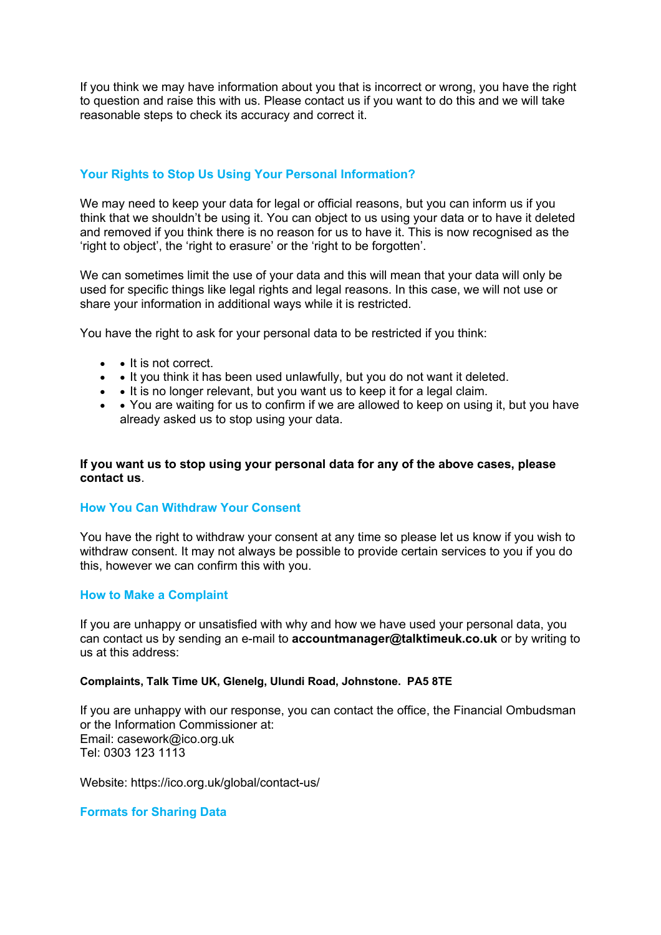If you think we may have information about you that is incorrect or wrong, you have the right to question and raise this with us. Please contact us if you want to do this and we will take reasonable steps to check its accuracy and correct it.

## **Your Rights to Stop Us Using Your Personal Information?**

We may need to keep your data for legal or official reasons, but you can inform us if you think that we shouldn't be using it. You can object to us using your data or to have it deleted and removed if you think there is no reason for us to have it. This is now recognised as the 'right to object', the 'right to erasure' or the 'right to be forgotten'.

We can sometimes limit the use of your data and this will mean that your data will only be used for specific things like legal rights and legal reasons. In this case, we will not use or share your information in additional ways while it is restricted.

You have the right to ask for your personal data to be restricted if you think:

- • It is not correct.
- • It you think it has been used unlawfully, but you do not want it deleted.
- • It is no longer relevant, but you want us to keep it for a legal claim.
- You are waiting for us to confirm if we are allowed to keep on using it, but you have already asked us to stop using your data.

#### **If you want us to stop using your personal data for any of the above cases, please contact us**.

#### **How You Can Withdraw Your Consent**

You have the right to withdraw your consent at any time so please let us know if you wish to withdraw consent. It may not always be possible to provide certain services to you if you do this, however we can confirm this with you.

#### **How to Make a Complaint**

If you are unhappy or unsatisfied with why and how we have used your personal data, you can contact us by sending an e-mail to **accountmanager@talktimeuk.co.uk** or by writing to us at this address:

### **Complaints, Talk Time UK, Glenelg, Ulundi Road, Johnstone. PA5 8TE**

If you are unhappy with our response, you can contact the office, the Financial Ombudsman or the Information Commissioner at: Email: casework@ico.org.uk Tel: 0303 123 1113

Website: https://ico.org.uk/global/contact-us/

#### **Formats for Sharing Data**